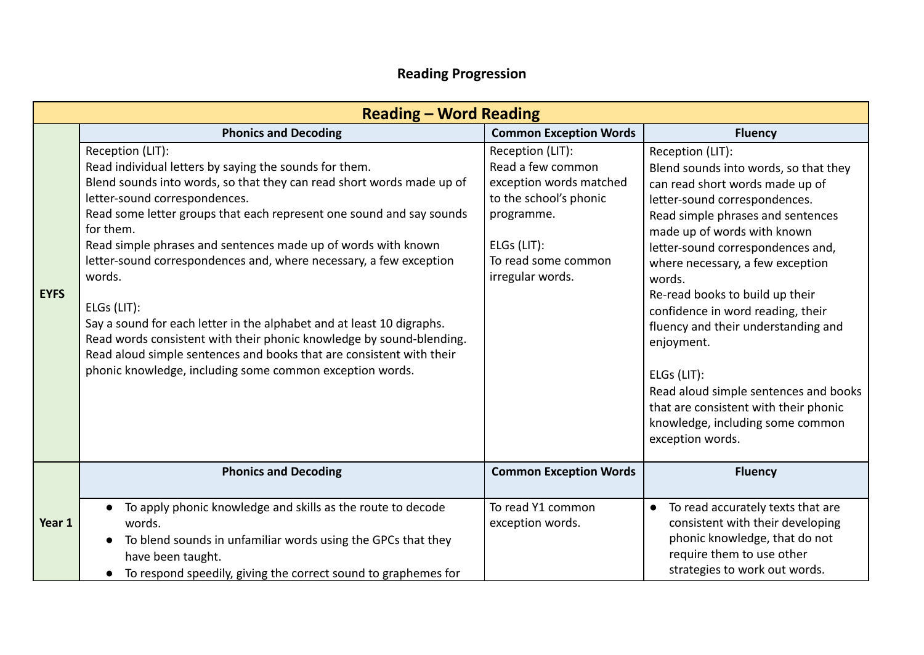## **Reading Progression**

|             | <b>Reading - Word Reading</b>                                                                                                                                                                                                                                                                                                                                                                                                                                                                                                                                                                                                                                                                                                  |                                                                                                                                                                    |                                                                                                                                                                                                                                                                                                                                                                                                                                                                                                                                                                            |  |  |  |  |  |  |
|-------------|--------------------------------------------------------------------------------------------------------------------------------------------------------------------------------------------------------------------------------------------------------------------------------------------------------------------------------------------------------------------------------------------------------------------------------------------------------------------------------------------------------------------------------------------------------------------------------------------------------------------------------------------------------------------------------------------------------------------------------|--------------------------------------------------------------------------------------------------------------------------------------------------------------------|----------------------------------------------------------------------------------------------------------------------------------------------------------------------------------------------------------------------------------------------------------------------------------------------------------------------------------------------------------------------------------------------------------------------------------------------------------------------------------------------------------------------------------------------------------------------------|--|--|--|--|--|--|
|             | <b>Phonics and Decoding</b>                                                                                                                                                                                                                                                                                                                                                                                                                                                                                                                                                                                                                                                                                                    | <b>Common Exception Words</b>                                                                                                                                      | <b>Fluency</b>                                                                                                                                                                                                                                                                                                                                                                                                                                                                                                                                                             |  |  |  |  |  |  |
| <b>EYFS</b> | Reception (LIT):<br>Read individual letters by saying the sounds for them.<br>Blend sounds into words, so that they can read short words made up of<br>letter-sound correspondences.<br>Read some letter groups that each represent one sound and say sounds<br>for them.<br>Read simple phrases and sentences made up of words with known<br>letter-sound correspondences and, where necessary, a few exception<br>words.<br>ELGs (LIT):<br>Say a sound for each letter in the alphabet and at least 10 digraphs.<br>Read words consistent with their phonic knowledge by sound-blending.<br>Read aloud simple sentences and books that are consistent with their<br>phonic knowledge, including some common exception words. | Reception (LIT):<br>Read a few common<br>exception words matched<br>to the school's phonic<br>programme.<br>ELGs (LIT):<br>To read some common<br>irregular words. | Reception (LIT):<br>Blend sounds into words, so that they<br>can read short words made up of<br>letter-sound correspondences.<br>Read simple phrases and sentences<br>made up of words with known<br>letter-sound correspondences and,<br>where necessary, a few exception<br>words.<br>Re-read books to build up their<br>confidence in word reading, their<br>fluency and their understanding and<br>enjoyment.<br>ELGs (LIT):<br>Read aloud simple sentences and books<br>that are consistent with their phonic<br>knowledge, including some common<br>exception words. |  |  |  |  |  |  |
|             | <b>Phonics and Decoding</b>                                                                                                                                                                                                                                                                                                                                                                                                                                                                                                                                                                                                                                                                                                    | <b>Common Exception Words</b>                                                                                                                                      | <b>Fluency</b>                                                                                                                                                                                                                                                                                                                                                                                                                                                                                                                                                             |  |  |  |  |  |  |
| Year 1      | To apply phonic knowledge and skills as the route to decode<br>words.<br>To blend sounds in unfamiliar words using the GPCs that they<br>$\bullet$<br>have been taught.<br>To respond speedily, giving the correct sound to graphemes for<br>$\bullet$                                                                                                                                                                                                                                                                                                                                                                                                                                                                         | To read Y1 common<br>exception words.                                                                                                                              | To read accurately texts that are<br>$\bullet$<br>consistent with their developing<br>phonic knowledge, that do not<br>require them to use other<br>strategies to work out words.                                                                                                                                                                                                                                                                                                                                                                                          |  |  |  |  |  |  |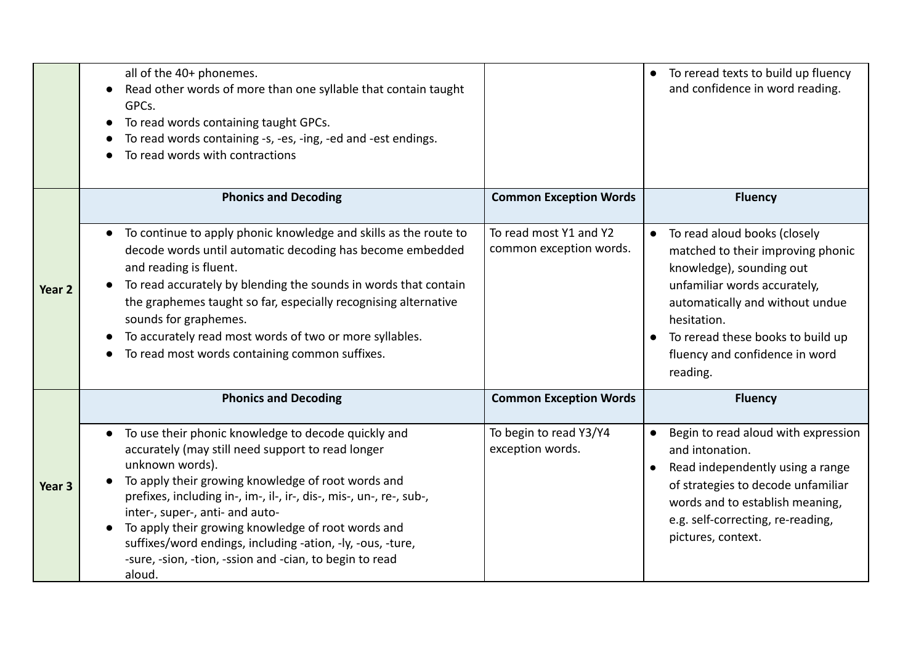|        | all of the 40+ phonemes.<br>Read other words of more than one syllable that contain taught<br>GPCs.<br>To read words containing taught GPCs.<br>$\bullet$<br>To read words containing -s, -es, -ing, -ed and -est endings.<br>To read words with contractions                                                                                                                                                                                                                        |                                                   | To reread texts to build up fluency<br>and confidence in word reading.                                                                                                                                                                                             |
|--------|--------------------------------------------------------------------------------------------------------------------------------------------------------------------------------------------------------------------------------------------------------------------------------------------------------------------------------------------------------------------------------------------------------------------------------------------------------------------------------------|---------------------------------------------------|--------------------------------------------------------------------------------------------------------------------------------------------------------------------------------------------------------------------------------------------------------------------|
|        | <b>Phonics and Decoding</b>                                                                                                                                                                                                                                                                                                                                                                                                                                                          | <b>Common Exception Words</b>                     | <b>Fluency</b>                                                                                                                                                                                                                                                     |
| Year 2 | To continue to apply phonic knowledge and skills as the route to<br>$\bullet$<br>decode words until automatic decoding has become embedded<br>and reading is fluent.<br>To read accurately by blending the sounds in words that contain<br>the graphemes taught so far, especially recognising alternative<br>sounds for graphemes.<br>To accurately read most words of two or more syllables.<br>To read most words containing common suffixes.                                     | To read most Y1 and Y2<br>common exception words. | To read aloud books (closely<br>matched to their improving phonic<br>knowledge), sounding out<br>unfamiliar words accurately,<br>automatically and without undue<br>hesitation.<br>To reread these books to build up<br>fluency and confidence in word<br>reading. |
|        | <b>Phonics and Decoding</b>                                                                                                                                                                                                                                                                                                                                                                                                                                                          | <b>Common Exception Words</b>                     | <b>Fluency</b>                                                                                                                                                                                                                                                     |
| Year 3 | To use their phonic knowledge to decode quickly and<br>accurately (may still need support to read longer<br>unknown words).<br>To apply their growing knowledge of root words and<br>prefixes, including in-, im-, il-, ir-, dis-, mis-, un-, re-, sub-,<br>inter-, super-, anti- and auto-<br>To apply their growing knowledge of root words and<br>suffixes/word endings, including -ation, -ly, -ous, -ture,<br>-sure, -sion, -tion, -ssion and -cian, to begin to read<br>aloud. | To begin to read Y3/Y4<br>exception words.        | Begin to read aloud with expression<br>and intonation.<br>Read independently using a range<br>of strategies to decode unfamiliar<br>words and to establish meaning,<br>e.g. self-correcting, re-reading,<br>pictures, context.                                     |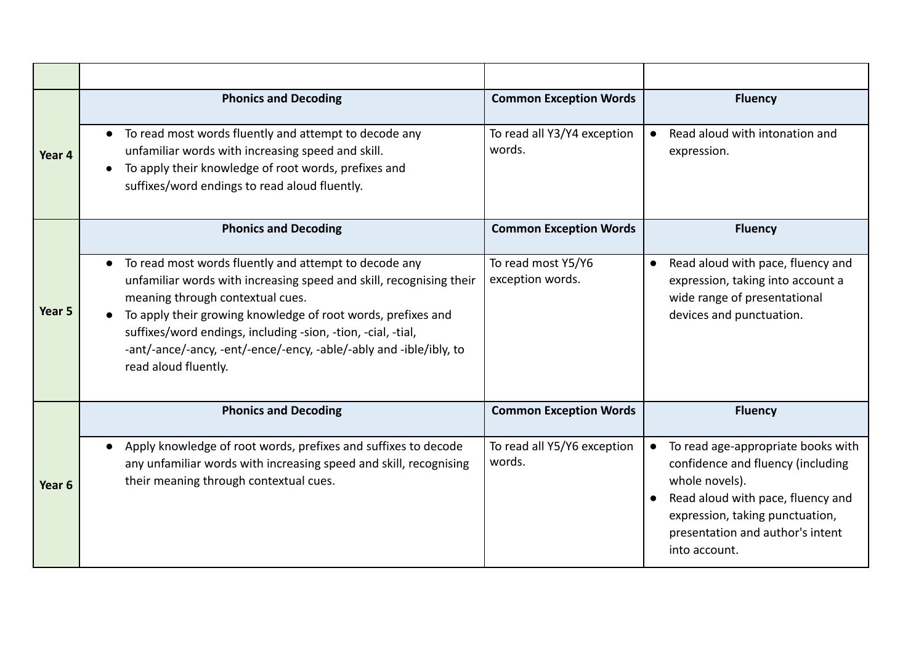|                   | <b>Phonics and Decoding</b>                                                                                                                                                                                                                                                                                                                                                                                              | <b>Common Exception Words</b>          | <b>Fluency</b>                                                                                                                                                                                                                      |  |
|-------------------|--------------------------------------------------------------------------------------------------------------------------------------------------------------------------------------------------------------------------------------------------------------------------------------------------------------------------------------------------------------------------------------------------------------------------|----------------------------------------|-------------------------------------------------------------------------------------------------------------------------------------------------------------------------------------------------------------------------------------|--|
| Year 4            | To read most words fluently and attempt to decode any<br>$\bullet$<br>unfamiliar words with increasing speed and skill.<br>To apply their knowledge of root words, prefixes and<br>suffixes/word endings to read aloud fluently.                                                                                                                                                                                         | To read all Y3/Y4 exception<br>words.  | Read aloud with intonation and<br>$\bullet$<br>expression.                                                                                                                                                                          |  |
|                   | <b>Phonics and Decoding</b>                                                                                                                                                                                                                                                                                                                                                                                              | <b>Common Exception Words</b>          | <b>Fluency</b>                                                                                                                                                                                                                      |  |
| Year 5            | To read most words fluently and attempt to decode any<br>$\bullet$<br>unfamiliar words with increasing speed and skill, recognising their<br>meaning through contextual cues.<br>To apply their growing knowledge of root words, prefixes and<br>$\bullet$<br>suffixes/word endings, including -sion, -tion, -cial, -tial,<br>-ant/-ance/-ancy, -ent/-ence/-ency, -able/-ably and -ible/ibly, to<br>read aloud fluently. | To read most Y5/Y6<br>exception words. | Read aloud with pace, fluency and<br>$\bullet$<br>expression, taking into account a<br>wide range of presentational<br>devices and punctuation.                                                                                     |  |
|                   | <b>Phonics and Decoding</b>                                                                                                                                                                                                                                                                                                                                                                                              | <b>Common Exception Words</b>          | <b>Fluency</b>                                                                                                                                                                                                                      |  |
| Year <sub>6</sub> | Apply knowledge of root words, prefixes and suffixes to decode<br>any unfamiliar words with increasing speed and skill, recognising<br>their meaning through contextual cues.                                                                                                                                                                                                                                            | To read all Y5/Y6 exception<br>words.  | To read age-appropriate books with<br>$\bullet$<br>confidence and fluency (including<br>whole novels).<br>Read aloud with pace, fluency and<br>expression, taking punctuation,<br>presentation and author's intent<br>into account. |  |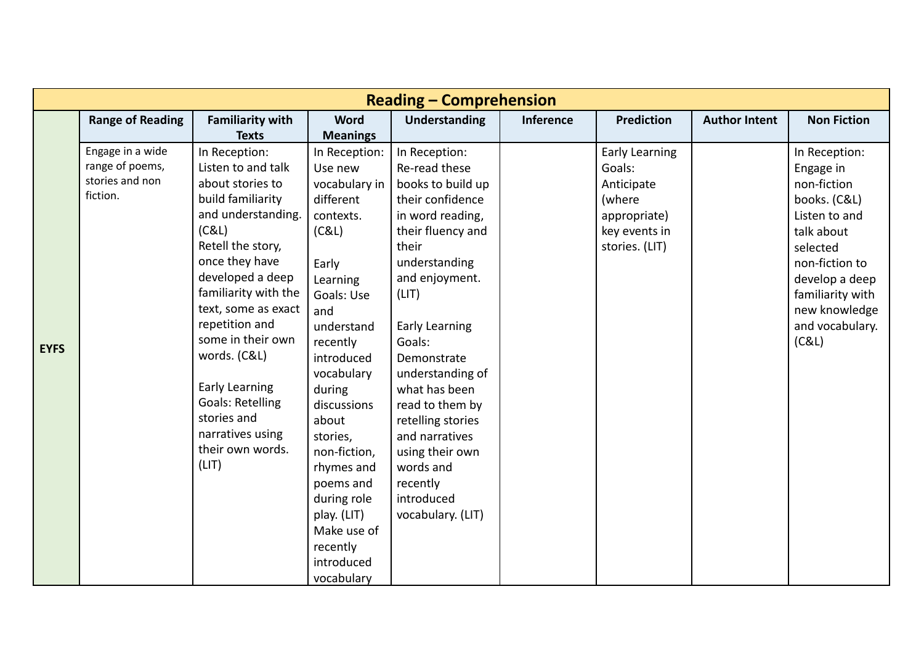| <b>Reading - Comprehension</b> |                                     |                                      |                            |                                |                  |                                 |                      |                            |
|--------------------------------|-------------------------------------|--------------------------------------|----------------------------|--------------------------------|------------------|---------------------------------|----------------------|----------------------------|
|                                | <b>Range of Reading</b>             | <b>Familiarity with</b>              | <b>Word</b>                | <b>Understanding</b>           | <b>Inference</b> | <b>Prediction</b>               | <b>Author Intent</b> | <b>Non Fiction</b>         |
|                                |                                     | <b>Texts</b>                         | <b>Meanings</b>            |                                |                  |                                 |                      |                            |
|                                | Engage in a wide<br>range of poems, | In Reception:<br>Listen to and talk  | In Reception:<br>Use new   | In Reception:<br>Re-read these |                  | <b>Early Learning</b><br>Goals: |                      | In Reception:<br>Engage in |
|                                | stories and non                     | about stories to                     | vocabulary in              | books to build up              |                  | Anticipate                      |                      | non-fiction                |
|                                | fiction.                            | build familiarity                    | different                  | their confidence               |                  | (where                          |                      | books. (C&L)               |
|                                |                                     | and understanding.                   | contexts.                  | in word reading,               |                  | appropriate)                    |                      | Listen to and              |
|                                |                                     | (C&L)                                | (C&L)                      | their fluency and              |                  | key events in                   |                      | talk about                 |
|                                |                                     | Retell the story,                    |                            | their                          |                  | stories. (LIT)                  |                      | selected                   |
|                                |                                     | once they have                       | Early                      | understanding                  |                  |                                 |                      | non-fiction to             |
|                                |                                     | developed a deep                     | Learning                   | and enjoyment.                 |                  |                                 |                      | develop a deep             |
|                                |                                     | familiarity with the                 | Goals: Use                 | (LIT)                          |                  |                                 |                      | familiarity with           |
|                                |                                     | text, some as exact                  | and                        |                                |                  |                                 |                      | new knowledge              |
|                                |                                     | repetition and                       | understand                 | <b>Early Learning</b>          |                  |                                 |                      | and vocabulary.            |
| <b>EYFS</b>                    |                                     | some in their own                    | recently                   | Goals:                         |                  |                                 |                      | (C&L)                      |
|                                |                                     | words. (C&L)                         | introduced                 | Demonstrate                    |                  |                                 |                      |                            |
|                                |                                     |                                      | vocabulary                 | understanding of               |                  |                                 |                      |                            |
|                                |                                     | <b>Early Learning</b>                | during                     | what has been                  |                  |                                 |                      |                            |
|                                |                                     | <b>Goals: Retelling</b>              | discussions                | read to them by                |                  |                                 |                      |                            |
|                                |                                     | stories and                          | about                      | retelling stories              |                  |                                 |                      |                            |
|                                |                                     | narratives using<br>their own words. | stories,                   | and narratives                 |                  |                                 |                      |                            |
|                                |                                     | (LIT)                                | non-fiction,               | using their own                |                  |                                 |                      |                            |
|                                |                                     |                                      | rhymes and                 | words and                      |                  |                                 |                      |                            |
|                                |                                     |                                      | poems and                  | recently                       |                  |                                 |                      |                            |
|                                |                                     |                                      | during role                | introduced                     |                  |                                 |                      |                            |
|                                |                                     |                                      | play. (LIT)<br>Make use of | vocabulary. (LIT)              |                  |                                 |                      |                            |
|                                |                                     |                                      |                            |                                |                  |                                 |                      |                            |
|                                |                                     |                                      | recently<br>introduced     |                                |                  |                                 |                      |                            |
|                                |                                     |                                      | vocabulary                 |                                |                  |                                 |                      |                            |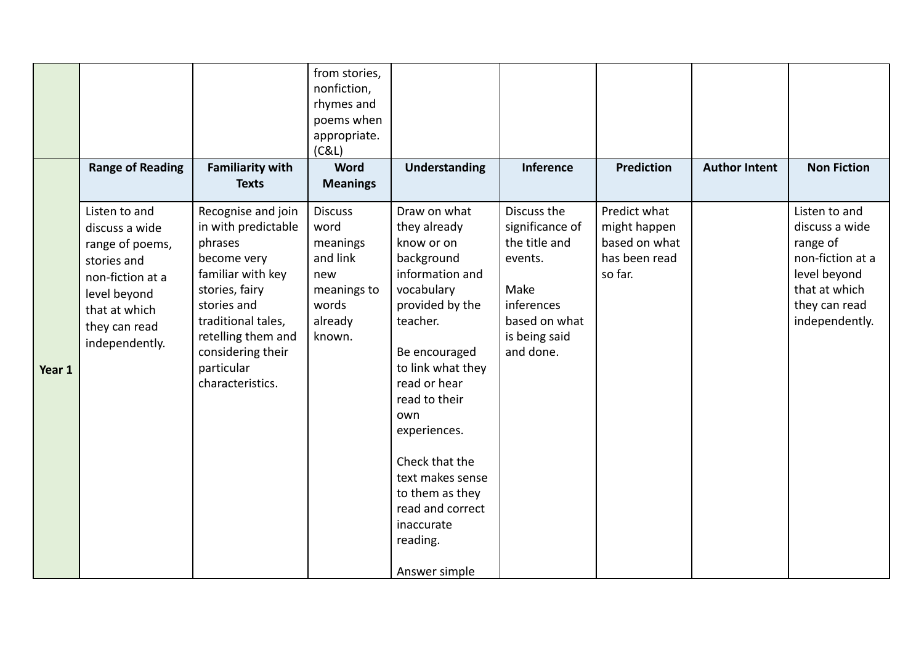|        | <b>Range of Reading</b>                                                                                                                                   | <b>Familiarity with</b><br><b>Texts</b>                                                                                                                                                                                      | from stories,<br>nonfiction,<br>rhymes and<br>poems when<br>appropriate.<br>(C&L)<br><b>Word</b><br><b>Meanings</b> | <b>Understanding</b>                                                                                                                                                                                                                                                                                                                           | Inference                                                                                                                       | <b>Prediction</b>                                                         | <b>Author Intent</b> | <b>Non Fiction</b>                                                                                                                  |
|--------|-----------------------------------------------------------------------------------------------------------------------------------------------------------|------------------------------------------------------------------------------------------------------------------------------------------------------------------------------------------------------------------------------|---------------------------------------------------------------------------------------------------------------------|------------------------------------------------------------------------------------------------------------------------------------------------------------------------------------------------------------------------------------------------------------------------------------------------------------------------------------------------|---------------------------------------------------------------------------------------------------------------------------------|---------------------------------------------------------------------------|----------------------|-------------------------------------------------------------------------------------------------------------------------------------|
| Year 1 | Listen to and<br>discuss a wide<br>range of poems,<br>stories and<br>non-fiction at a<br>level beyond<br>that at which<br>they can read<br>independently. | Recognise and join<br>in with predictable<br>phrases<br>become very<br>familiar with key<br>stories, fairy<br>stories and<br>traditional tales,<br>retelling them and<br>considering their<br>particular<br>characteristics. | <b>Discuss</b><br>word<br>meanings<br>and link<br>new<br>meanings to<br>words<br>already<br>known.                  | Draw on what<br>they already<br>know or on<br>background<br>information and<br>vocabulary<br>provided by the<br>teacher.<br>Be encouraged<br>to link what they<br>read or hear<br>read to their<br>own<br>experiences.<br>Check that the<br>text makes sense<br>to them as they<br>read and correct<br>inaccurate<br>reading.<br>Answer simple | Discuss the<br>significance of<br>the title and<br>events.<br>Make<br>inferences<br>based on what<br>is being said<br>and done. | Predict what<br>might happen<br>based on what<br>has been read<br>so far. |                      | Listen to and<br>discuss a wide<br>range of<br>non-fiction at a<br>level beyond<br>that at which<br>they can read<br>independently. |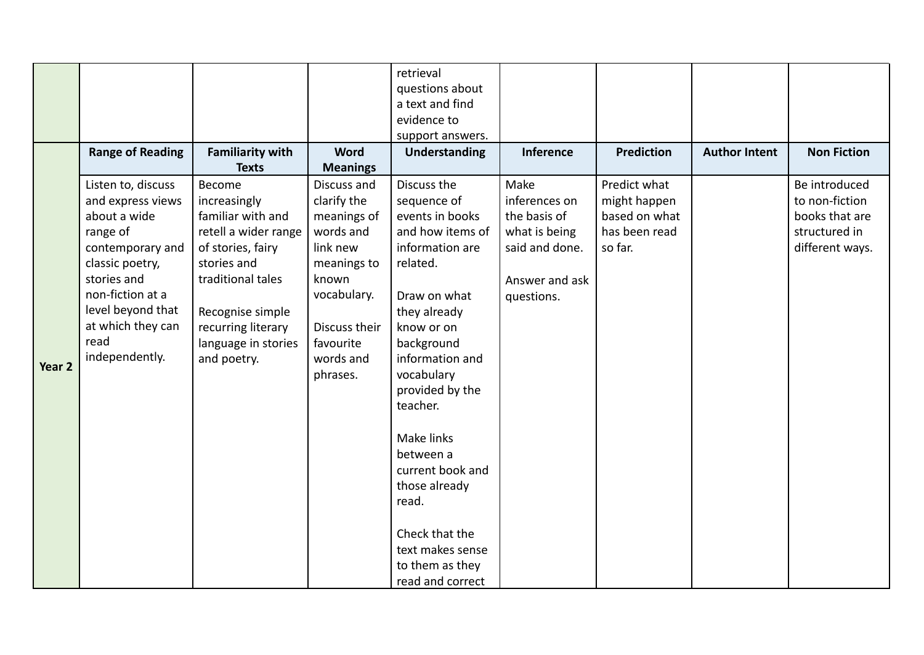|                   |                                                                    |                                                                                                               | retrieval                                     |                                                                                                                                                                                                                                                                                                                                  |                                    |                                   |                      |
|-------------------|--------------------------------------------------------------------|---------------------------------------------------------------------------------------------------------------|-----------------------------------------------|----------------------------------------------------------------------------------------------------------------------------------------------------------------------------------------------------------------------------------------------------------------------------------------------------------------------------------|------------------------------------|-----------------------------------|----------------------|
|                   |                                                                    |                                                                                                               |                                               |                                                                                                                                                                                                                                                                                                                                  |                                    |                                   |                      |
|                   |                                                                    |                                                                                                               |                                               |                                                                                                                                                                                                                                                                                                                                  |                                    |                                   |                      |
|                   |                                                                    |                                                                                                               |                                               |                                                                                                                                                                                                                                                                                                                                  |                                    |                                   |                      |
|                   |                                                                    |                                                                                                               |                                               |                                                                                                                                                                                                                                                                                                                                  |                                    |                                   |                      |
|                   |                                                                    |                                                                                                               |                                               |                                                                                                                                                                                                                                                                                                                                  |                                    |                                   | <b>Non Fiction</b>   |
|                   |                                                                    |                                                                                                               |                                               |                                                                                                                                                                                                                                                                                                                                  |                                    |                                   |                      |
|                   |                                                                    | Discuss and                                                                                                   |                                               |                                                                                                                                                                                                                                                                                                                                  |                                    |                                   | Be introduced        |
|                   | increasingly                                                       |                                                                                                               |                                               |                                                                                                                                                                                                                                                                                                                                  | might happen                       |                                   | to non-fiction       |
| about a wide      | familiar with and                                                  | meanings of                                                                                                   | events in books                               | the basis of                                                                                                                                                                                                                                                                                                                     | based on what                      |                                   | books that are       |
| range of          | retell a wider range                                               | words and                                                                                                     | and how items of                              | what is being                                                                                                                                                                                                                                                                                                                    | has been read                      |                                   | structured in        |
| contemporary and  | of stories, fairy                                                  | link new                                                                                                      | information are                               | said and done.                                                                                                                                                                                                                                                                                                                   | so far.                            |                                   | different ways.      |
| classic poetry,   | stories and                                                        | meanings to                                                                                                   | related.                                      |                                                                                                                                                                                                                                                                                                                                  |                                    |                                   |                      |
| stories and       | traditional tales                                                  | known                                                                                                         |                                               | Answer and ask                                                                                                                                                                                                                                                                                                                   |                                    |                                   |                      |
| non-fiction at a  |                                                                    | vocabulary.                                                                                                   | Draw on what                                  | questions.                                                                                                                                                                                                                                                                                                                       |                                    |                                   |                      |
| level beyond that | Recognise simple                                                   |                                                                                                               | they already                                  |                                                                                                                                                                                                                                                                                                                                  |                                    |                                   |                      |
| at which they can |                                                                    | Discuss their                                                                                                 | know or on                                    |                                                                                                                                                                                                                                                                                                                                  |                                    |                                   |                      |
| read              |                                                                    | favourite                                                                                                     |                                               |                                                                                                                                                                                                                                                                                                                                  |                                    |                                   |                      |
| independently.    |                                                                    | words and                                                                                                     | information and                               |                                                                                                                                                                                                                                                                                                                                  |                                    |                                   |                      |
|                   |                                                                    | phrases.                                                                                                      |                                               |                                                                                                                                                                                                                                                                                                                                  |                                    |                                   |                      |
|                   |                                                                    |                                                                                                               |                                               |                                                                                                                                                                                                                                                                                                                                  |                                    |                                   |                      |
|                   |                                                                    |                                                                                                               | teacher.                                      |                                                                                                                                                                                                                                                                                                                                  |                                    |                                   |                      |
|                   |                                                                    |                                                                                                               |                                               |                                                                                                                                                                                                                                                                                                                                  |                                    |                                   |                      |
|                   |                                                                    |                                                                                                               |                                               |                                                                                                                                                                                                                                                                                                                                  |                                    |                                   |                      |
|                   |                                                                    |                                                                                                               |                                               |                                                                                                                                                                                                                                                                                                                                  |                                    |                                   |                      |
|                   |                                                                    |                                                                                                               |                                               |                                                                                                                                                                                                                                                                                                                                  |                                    |                                   |                      |
|                   |                                                                    |                                                                                                               |                                               |                                                                                                                                                                                                                                                                                                                                  |                                    |                                   |                      |
|                   |                                                                    |                                                                                                               |                                               |                                                                                                                                                                                                                                                                                                                                  |                                    |                                   |                      |
|                   |                                                                    |                                                                                                               |                                               |                                                                                                                                                                                                                                                                                                                                  |                                    |                                   |                      |
|                   |                                                                    |                                                                                                               |                                               |                                                                                                                                                                                                                                                                                                                                  |                                    |                                   |                      |
|                   |                                                                    |                                                                                                               |                                               |                                                                                                                                                                                                                                                                                                                                  |                                    |                                   |                      |
|                   |                                                                    |                                                                                                               |                                               |                                                                                                                                                                                                                                                                                                                                  |                                    |                                   |                      |
|                   |                                                                    |                                                                                                               |                                               |                                                                                                                                                                                                                                                                                                                                  |                                    |                                   |                      |
|                   | <b>Range of Reading</b><br>Listen to, discuss<br>and express views | <b>Familiarity with</b><br><b>Texts</b><br>Become<br>recurring literary<br>language in stories<br>and poetry. | <b>Word</b><br><b>Meanings</b><br>clarify the | questions about<br>a text and find<br>evidence to<br>support answers.<br><b>Understanding</b><br>Discuss the<br>sequence of<br>background<br>vocabulary<br>provided by the<br>Make links<br>between a<br>current book and<br>those already<br>read.<br>Check that the<br>text makes sense<br>to them as they<br>read and correct | Inference<br>Make<br>inferences on | <b>Prediction</b><br>Predict what | <b>Author Intent</b> |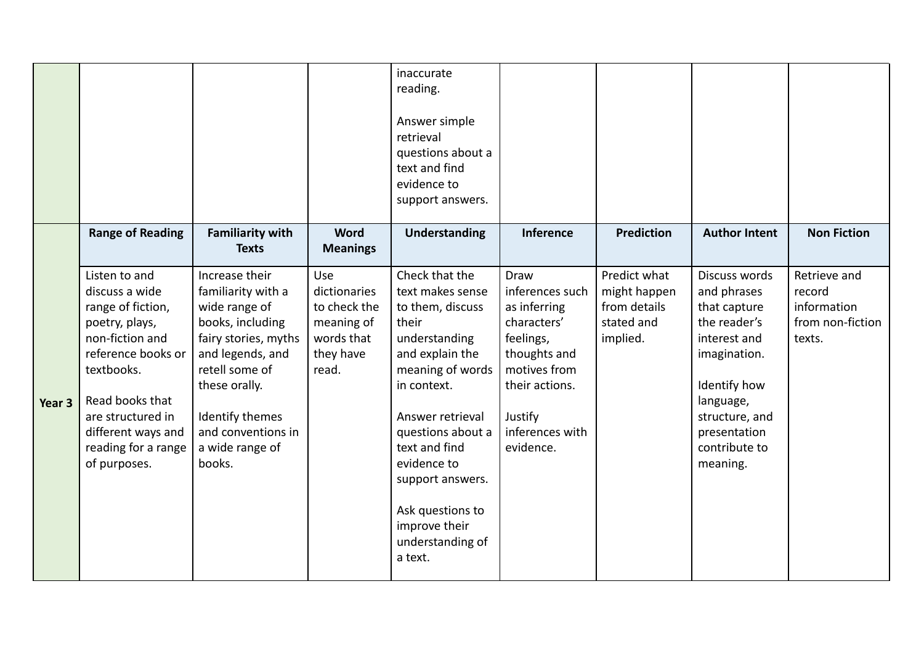|        |                                                                                                                                                                                                                                    |                                                                                                                                                                                                                                |                                                                                       | inaccurate<br>reading.<br>Answer simple<br>retrieval<br>questions about a<br>text and find<br>evidence to<br>support answers.                                                                                                                                                                           |                                                                                                                                                                         |                                                                        |                                                                                                                                                                                          |                                                                     |
|--------|------------------------------------------------------------------------------------------------------------------------------------------------------------------------------------------------------------------------------------|--------------------------------------------------------------------------------------------------------------------------------------------------------------------------------------------------------------------------------|---------------------------------------------------------------------------------------|---------------------------------------------------------------------------------------------------------------------------------------------------------------------------------------------------------------------------------------------------------------------------------------------------------|-------------------------------------------------------------------------------------------------------------------------------------------------------------------------|------------------------------------------------------------------------|------------------------------------------------------------------------------------------------------------------------------------------------------------------------------------------|---------------------------------------------------------------------|
|        | <b>Range of Reading</b>                                                                                                                                                                                                            | <b>Familiarity with</b><br><b>Texts</b>                                                                                                                                                                                        | <b>Word</b><br><b>Meanings</b>                                                        | Understanding                                                                                                                                                                                                                                                                                           | <b>Inference</b>                                                                                                                                                        | <b>Prediction</b>                                                      | <b>Author Intent</b>                                                                                                                                                                     | <b>Non Fiction</b>                                                  |
| Year 3 | Listen to and<br>discuss a wide<br>range of fiction,<br>poetry, plays,<br>non-fiction and<br>reference books or<br>textbooks.<br>Read books that<br>are structured in<br>different ways and<br>reading for a range<br>of purposes. | Increase their<br>familiarity with a<br>wide range of<br>books, including<br>fairy stories, myths<br>and legends, and<br>retell some of<br>these orally.<br>Identify themes<br>and conventions in<br>a wide range of<br>books. | Use<br>dictionaries<br>to check the<br>meaning of<br>words that<br>they have<br>read. | Check that the<br>text makes sense<br>to them, discuss<br>their<br>understanding<br>and explain the<br>meaning of words<br>in context.<br>Answer retrieval<br>questions about a<br>text and find<br>evidence to<br>support answers.<br>Ask questions to<br>improve their<br>understanding of<br>a text. | <b>Draw</b><br>inferences such<br>as inferring<br>characters'<br>feelings,<br>thoughts and<br>motives from<br>their actions.<br>Justify<br>inferences with<br>evidence. | Predict what<br>might happen<br>from details<br>stated and<br>implied. | Discuss words<br>and phrases<br>that capture<br>the reader's<br>interest and<br>imagination.<br>Identify how<br>language,<br>structure, and<br>presentation<br>contribute to<br>meaning. | Retrieve and<br>record<br>information<br>from non-fiction<br>texts. |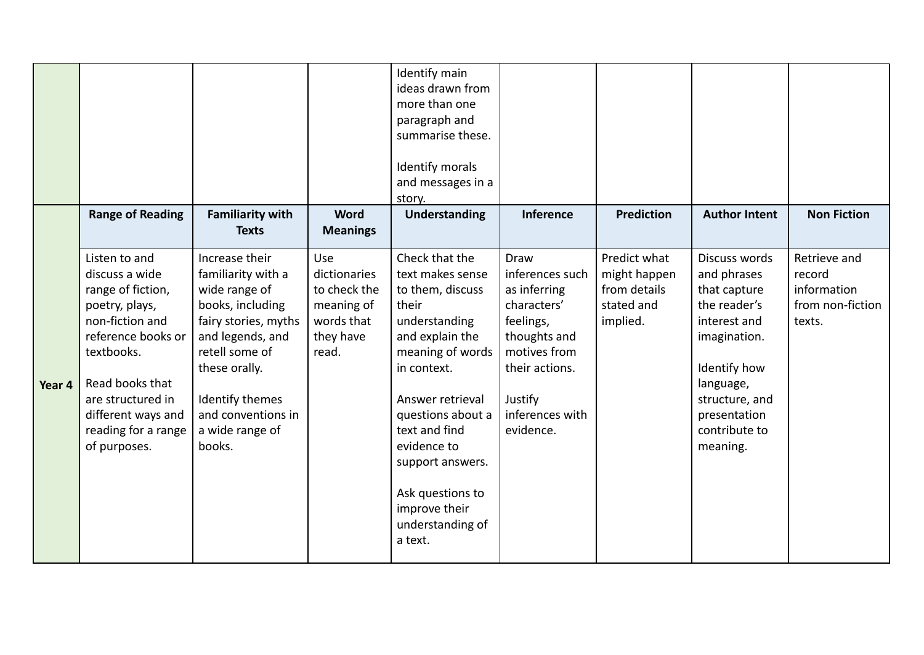|        | <b>Range of Reading</b>                                                                                                                                                                                                            | <b>Familiarity with</b><br><b>Texts</b>                                                                                                                                                                                        | Word<br><b>Meanings</b>                                                               | Identify main<br>ideas drawn from<br>more than one<br>paragraph and<br>summarise these.<br>Identify morals<br>and messages in a<br>story.<br><b>Understanding</b>                                                                                                                                       | <b>Inference</b>                                                                                                                                                 | <b>Prediction</b>                                                      | <b>Author Intent</b>                                                                                                                                                                     | <b>Non Fiction</b>                                                  |
|--------|------------------------------------------------------------------------------------------------------------------------------------------------------------------------------------------------------------------------------------|--------------------------------------------------------------------------------------------------------------------------------------------------------------------------------------------------------------------------------|---------------------------------------------------------------------------------------|---------------------------------------------------------------------------------------------------------------------------------------------------------------------------------------------------------------------------------------------------------------------------------------------------------|------------------------------------------------------------------------------------------------------------------------------------------------------------------|------------------------------------------------------------------------|------------------------------------------------------------------------------------------------------------------------------------------------------------------------------------------|---------------------------------------------------------------------|
| Year 4 | Listen to and<br>discuss a wide<br>range of fiction,<br>poetry, plays,<br>non-fiction and<br>reference books or<br>textbooks.<br>Read books that<br>are structured in<br>different ways and<br>reading for a range<br>of purposes. | Increase their<br>familiarity with a<br>wide range of<br>books, including<br>fairy stories, myths<br>and legends, and<br>retell some of<br>these orally.<br>Identify themes<br>and conventions in<br>a wide range of<br>books. | Use<br>dictionaries<br>to check the<br>meaning of<br>words that<br>they have<br>read. | Check that the<br>text makes sense<br>to them, discuss<br>their<br>understanding<br>and explain the<br>meaning of words<br>in context.<br>Answer retrieval<br>questions about a<br>text and find<br>evidence to<br>support answers.<br>Ask questions to<br>improve their<br>understanding of<br>a text. | Draw<br>inferences such<br>as inferring<br>characters'<br>feelings,<br>thoughts and<br>motives from<br>their actions.<br>Justify<br>inferences with<br>evidence. | Predict what<br>might happen<br>from details<br>stated and<br>implied. | Discuss words<br>and phrases<br>that capture<br>the reader's<br>interest and<br>imagination.<br>Identify how<br>language,<br>structure, and<br>presentation<br>contribute to<br>meaning. | Retrieve and<br>record<br>information<br>from non-fiction<br>texts. |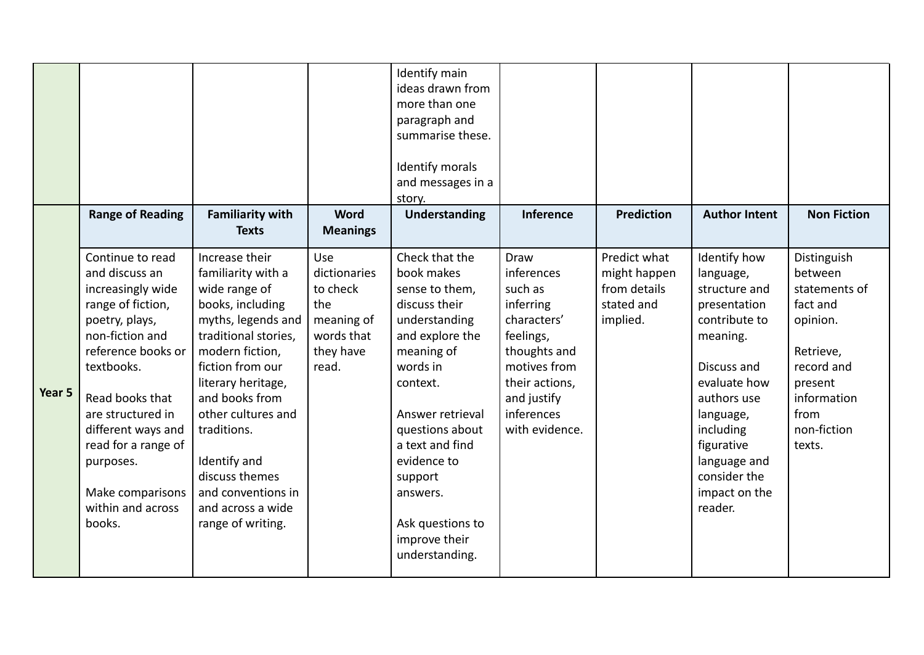|        | <b>Range of Reading</b>                                                                                                                                                                                                                                                                                    | <b>Familiarity with</b><br><b>Texts</b>                                                                                                                                                                                                                                                                                                       | <b>Word</b><br><b>Meanings</b>                                                           | Identify main<br>ideas drawn from<br>more than one<br>paragraph and<br>summarise these.<br>Identify morals<br>and messages in a<br>story.<br>Understanding                                                                                                                                       | <b>Inference</b>                                                                                                                                                        | <b>Prediction</b>                                                      | <b>Author Intent</b>                                                                                                                                                                                                                      | <b>Non Fiction</b>                                                                                                                                    |
|--------|------------------------------------------------------------------------------------------------------------------------------------------------------------------------------------------------------------------------------------------------------------------------------------------------------------|-----------------------------------------------------------------------------------------------------------------------------------------------------------------------------------------------------------------------------------------------------------------------------------------------------------------------------------------------|------------------------------------------------------------------------------------------|--------------------------------------------------------------------------------------------------------------------------------------------------------------------------------------------------------------------------------------------------------------------------------------------------|-------------------------------------------------------------------------------------------------------------------------------------------------------------------------|------------------------------------------------------------------------|-------------------------------------------------------------------------------------------------------------------------------------------------------------------------------------------------------------------------------------------|-------------------------------------------------------------------------------------------------------------------------------------------------------|
| Year 5 | Continue to read<br>and discuss an<br>increasingly wide<br>range of fiction,<br>poetry, plays,<br>non-fiction and<br>reference books or<br>textbooks.<br>Read books that<br>are structured in<br>different ways and<br>read for a range of<br>purposes.<br>Make comparisons<br>within and across<br>books. | Increase their<br>familiarity with a<br>wide range of<br>books, including<br>myths, legends and<br>traditional stories,<br>modern fiction,<br>fiction from our<br>literary heritage,<br>and books from<br>other cultures and<br>traditions.<br>Identify and<br>discuss themes<br>and conventions in<br>and across a wide<br>range of writing. | Use<br>dictionaries<br>to check<br>the<br>meaning of<br>words that<br>they have<br>read. | Check that the<br>book makes<br>sense to them,<br>discuss their<br>understanding<br>and explore the<br>meaning of<br>words in<br>context.<br>Answer retrieval<br>questions about<br>a text and find<br>evidence to<br>support<br>answers.<br>Ask questions to<br>improve their<br>understanding. | Draw<br>inferences<br>such as<br>inferring<br>characters'<br>feelings,<br>thoughts and<br>motives from<br>their actions,<br>and justify<br>inferences<br>with evidence. | Predict what<br>might happen<br>from details<br>stated and<br>implied. | Identify how<br>language,<br>structure and<br>presentation<br>contribute to<br>meaning.<br>Discuss and<br>evaluate how<br>authors use<br>language,<br>including<br>figurative<br>language and<br>consider the<br>impact on the<br>reader. | Distinguish<br>between<br>statements of<br>fact and<br>opinion.<br>Retrieve,<br>record and<br>present<br>information<br>from<br>non-fiction<br>texts. |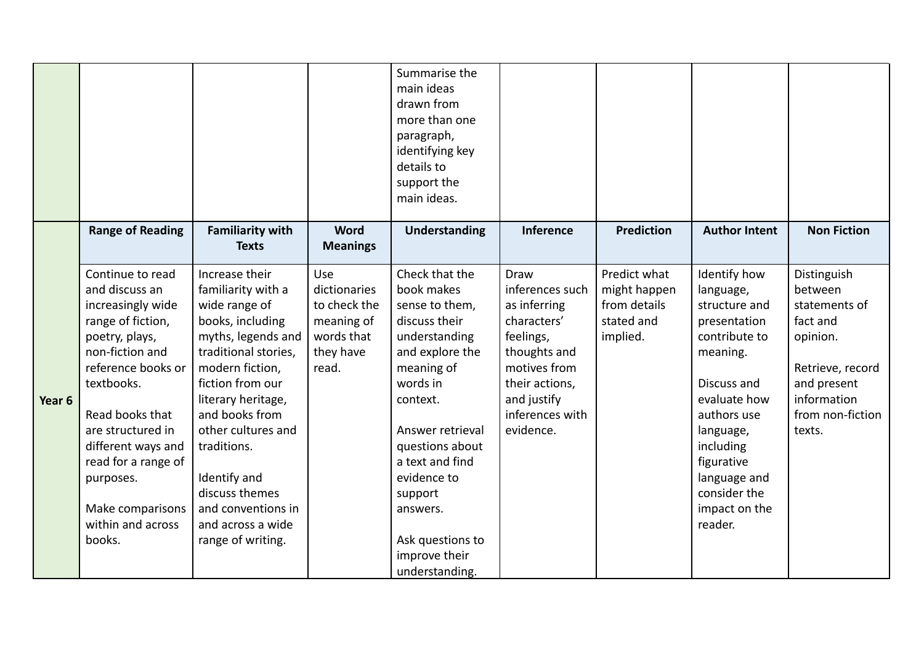|        |                                                                                                                                                                                                                                                                                                            |                                                                                                                                                                                                                                                                                                                                               |                                                                                       | Summarise the<br>main ideas<br>drawn from<br>more than one<br>paragraph,<br>identifying key<br>details to<br>support the<br>main ideas.                                                                                                                                                          |                                                                                                                                                                      |                                                                        |                                                                                                                                                                                                                                           |                                                                                                                                                 |
|--------|------------------------------------------------------------------------------------------------------------------------------------------------------------------------------------------------------------------------------------------------------------------------------------------------------------|-----------------------------------------------------------------------------------------------------------------------------------------------------------------------------------------------------------------------------------------------------------------------------------------------------------------------------------------------|---------------------------------------------------------------------------------------|--------------------------------------------------------------------------------------------------------------------------------------------------------------------------------------------------------------------------------------------------------------------------------------------------|----------------------------------------------------------------------------------------------------------------------------------------------------------------------|------------------------------------------------------------------------|-------------------------------------------------------------------------------------------------------------------------------------------------------------------------------------------------------------------------------------------|-------------------------------------------------------------------------------------------------------------------------------------------------|
|        | <b>Range of Reading</b>                                                                                                                                                                                                                                                                                    | <b>Familiarity with</b><br><b>Texts</b>                                                                                                                                                                                                                                                                                                       | <b>Word</b><br><b>Meanings</b>                                                        | <b>Understanding</b>                                                                                                                                                                                                                                                                             | Inference                                                                                                                                                            | <b>Prediction</b>                                                      | <b>Author Intent</b>                                                                                                                                                                                                                      | <b>Non Fiction</b>                                                                                                                              |
| Year 6 | Continue to read<br>and discuss an<br>increasingly wide<br>range of fiction,<br>poetry, plays,<br>non-fiction and<br>reference books or<br>textbooks.<br>Read books that<br>are structured in<br>different ways and<br>read for a range of<br>purposes.<br>Make comparisons<br>within and across<br>books. | Increase their<br>familiarity with a<br>wide range of<br>books, including<br>myths, legends and<br>traditional stories,<br>modern fiction,<br>fiction from our<br>literary heritage,<br>and books from<br>other cultures and<br>traditions.<br>Identify and<br>discuss themes<br>and conventions in<br>and across a wide<br>range of writing. | Use<br>dictionaries<br>to check the<br>meaning of<br>words that<br>they have<br>read. | Check that the<br>book makes<br>sense to them,<br>discuss their<br>understanding<br>and explore the<br>meaning of<br>words in<br>context.<br>Answer retrieval<br>questions about<br>a text and find<br>evidence to<br>support<br>answers.<br>Ask questions to<br>improve their<br>understanding. | Draw<br>inferences such<br>as inferring<br>characters'<br>feelings,<br>thoughts and<br>motives from<br>their actions,<br>and justify<br>inferences with<br>evidence. | Predict what<br>might happen<br>from details<br>stated and<br>implied. | Identify how<br>language,<br>structure and<br>presentation<br>contribute to<br>meaning.<br>Discuss and<br>evaluate how<br>authors use<br>language,<br>including<br>figurative<br>language and<br>consider the<br>impact on the<br>reader. | Distinguish<br>between<br>statements of<br>fact and<br>opinion.<br>Retrieve, record<br>and present<br>information<br>from non-fiction<br>texts. |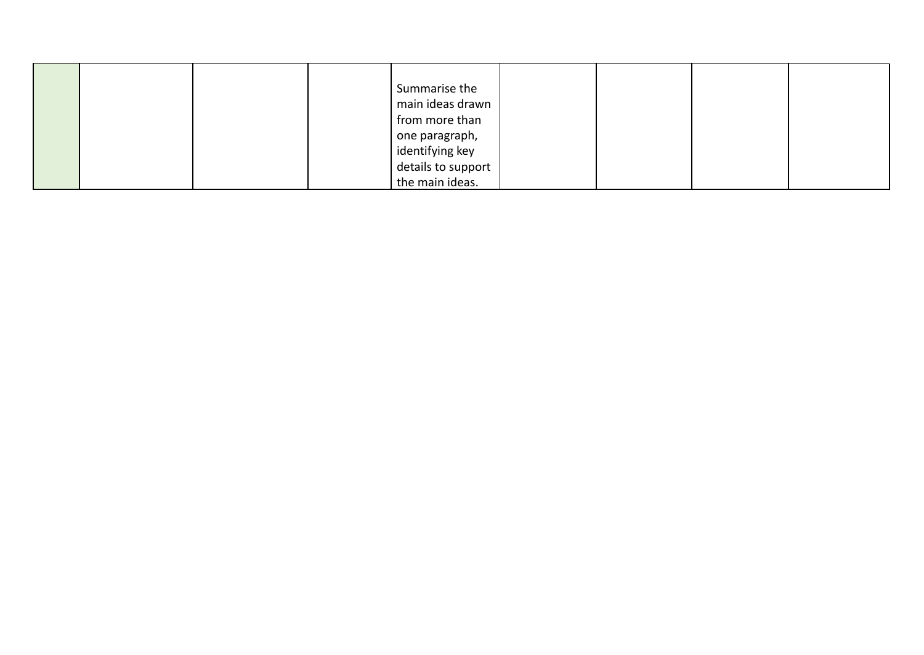|  |  | Summarise the<br>main ideas drawn<br>from more than<br>one paragraph,<br>  identifying key<br>details to support |  |  |
|--|--|------------------------------------------------------------------------------------------------------------------|--|--|
|  |  | the main ideas.                                                                                                  |  |  |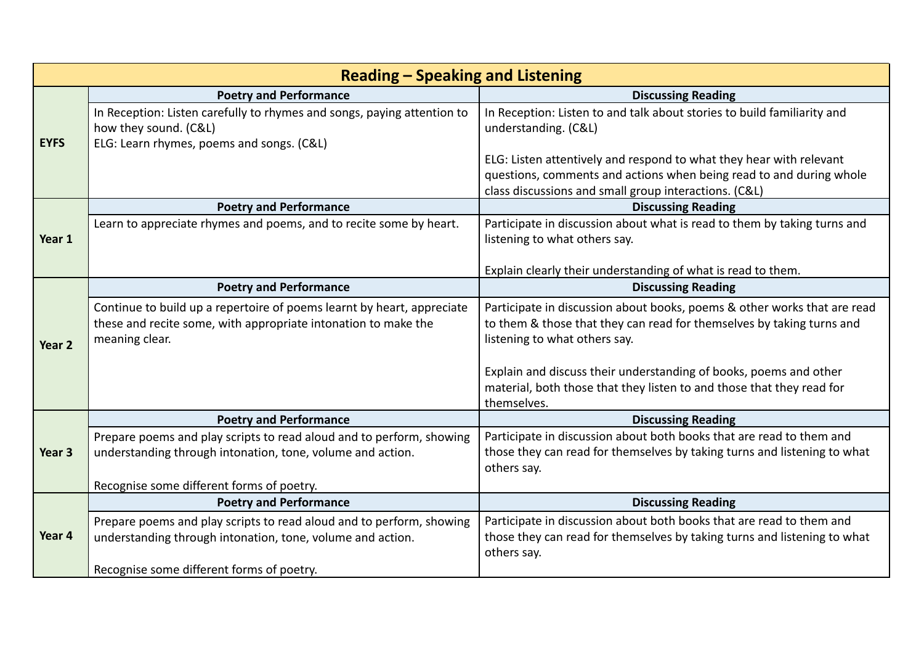|                   | <b>Reading - Speaking and Listening</b>                                                                                                                    |                                                                                                                                                                                                     |  |  |  |  |  |  |
|-------------------|------------------------------------------------------------------------------------------------------------------------------------------------------------|-----------------------------------------------------------------------------------------------------------------------------------------------------------------------------------------------------|--|--|--|--|--|--|
|                   | <b>Poetry and Performance</b>                                                                                                                              | <b>Discussing Reading</b>                                                                                                                                                                           |  |  |  |  |  |  |
| <b>EYFS</b>       | In Reception: Listen carefully to rhymes and songs, paying attention to<br>how they sound. (C&L)<br>ELG: Learn rhymes, poems and songs. (C&L)              | In Reception: Listen to and talk about stories to build familiarity and<br>understanding. (C&L)                                                                                                     |  |  |  |  |  |  |
|                   |                                                                                                                                                            | ELG: Listen attentively and respond to what they hear with relevant<br>questions, comments and actions when being read to and during whole<br>class discussions and small group interactions. (C&L) |  |  |  |  |  |  |
|                   | <b>Poetry and Performance</b>                                                                                                                              | <b>Discussing Reading</b>                                                                                                                                                                           |  |  |  |  |  |  |
| Year 1            | Learn to appreciate rhymes and poems, and to recite some by heart.                                                                                         | Participate in discussion about what is read to them by taking turns and<br>listening to what others say.                                                                                           |  |  |  |  |  |  |
|                   |                                                                                                                                                            | Explain clearly their understanding of what is read to them.                                                                                                                                        |  |  |  |  |  |  |
|                   | <b>Poetry and Performance</b>                                                                                                                              | <b>Discussing Reading</b>                                                                                                                                                                           |  |  |  |  |  |  |
|                   | Continue to build up a repertoire of poems learnt by heart, appreciate<br>these and recite some, with appropriate intonation to make the<br>meaning clear. | Participate in discussion about books, poems & other works that are read<br>to them & those that they can read for themselves by taking turns and<br>listening to what others say.                  |  |  |  |  |  |  |
| Year 2            |                                                                                                                                                            | Explain and discuss their understanding of books, poems and other<br>material, both those that they listen to and those that they read for<br>themselves.                                           |  |  |  |  |  |  |
|                   | <b>Poetry and Performance</b>                                                                                                                              | <b>Discussing Reading</b>                                                                                                                                                                           |  |  |  |  |  |  |
| Year <sub>3</sub> | Prepare poems and play scripts to read aloud and to perform, showing<br>understanding through intonation, tone, volume and action.                         | Participate in discussion about both books that are read to them and<br>those they can read for themselves by taking turns and listening to what<br>others say.                                     |  |  |  |  |  |  |
|                   | Recognise some different forms of poetry.                                                                                                                  |                                                                                                                                                                                                     |  |  |  |  |  |  |
|                   | <b>Poetry and Performance</b>                                                                                                                              | <b>Discussing Reading</b>                                                                                                                                                                           |  |  |  |  |  |  |
|                   | Prepare poems and play scripts to read aloud and to perform, showing                                                                                       | Participate in discussion about both books that are read to them and                                                                                                                                |  |  |  |  |  |  |
| Year 4            | understanding through intonation, tone, volume and action.                                                                                                 | those they can read for themselves by taking turns and listening to what<br>others say.                                                                                                             |  |  |  |  |  |  |
|                   | Recognise some different forms of poetry.                                                                                                                  |                                                                                                                                                                                                     |  |  |  |  |  |  |